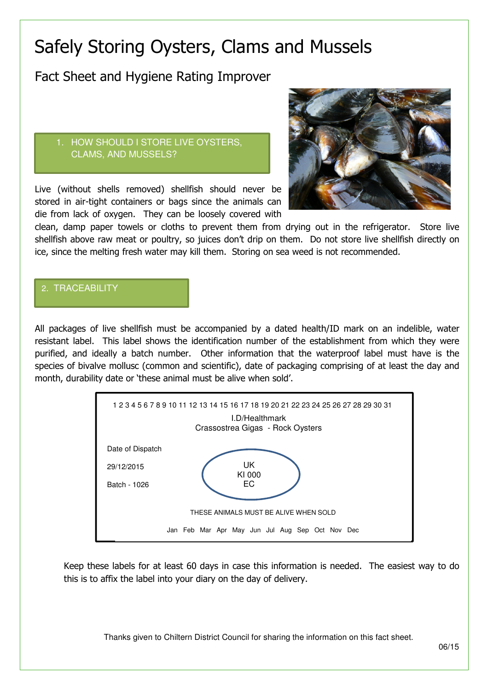# Safely Storing Oysters, Clams and Mussels

Fact Sheet and Hygiene Rating Improver

#### 1. HOW SHOULD I STORE LIVE OYSTERS, CLAMS, AND MUSSELS?

Live (without shells removed) shellfish should never be stored in air-tight containers or bags since the animals can die from lack of oxygen. They can be loosely covered with



clean, damp paper towels or cloths to prevent them from drying out in the refrigerator. Store live shellfish above raw meat or poultry, so juices don't drip on them. Do not store live shellfish directly on ice, since the melting fresh water may kill them. Storing on sea weed is not recommended.

#### 2. TRACEABILITY

All packages of live shellfish must be accompanied by a dated health/ID mark on an indelible, water resistant label. This label shows the identification number of the establishment from which they were purified, and ideally a batch number. Other information that the waterproof label must have is the species of bivalve mollusc (common and scientific), date of packaging comprising of at least the day and month, durability date or 'these animal must be alive when sold'.



Keep these labels for at least 60 days in case this information is needed. The easiest way to do this is to affix the label into your diary on the day of delivery.

Thanks given to Chiltern District Council for sharing the information on this fact sheet.